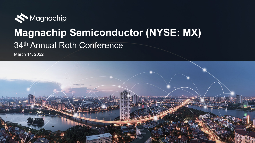

# **Magnachip Semiconductor (NYSE: MX)** 34th Annual Roth Conference

March 14, 2022

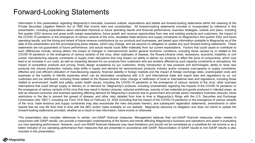### Forward-Looking Statements

Information in this presentation regarding Magnachip's forecasts, business outlook, expectations and beliefs are forward-looking statements within the meaning of the Private Securities Litigation Reform Act of 1995 that involve risks and uncertainties. All forward-looking statements included or incorporated by reference in this presentation, including expectations about estimated historical or future operating results and financial performance, business strategies, outlook and plans, including first quarter 2022 revenue and gross profit margin expectations, future growth and revenue opportunities from new and existing products and customers, the impact of the COVID-19 pandemic or the emergence of various variants of the virus, escalated trade tensions and supply constraints on Magnachip's first quarter 2022 and future operating results, and the timing and extent of future revenue contributions by our products and businesses, are based upon information available to Magnachip as of the date of this presentation and the accompanying press release, which may change, and we assume no obligation to update any such forward-looking statements. These statements are not guarantees of future performance, and actual results could differ materially from our current expectations. Factors that could cause or contribute to such differences include, among others: the impact of changes in macroeconomic and/or general economic conditions, including those caused by or related to the COVID-19 pandemic or the emergence of various variants of the virus, other outbreaks of disease, the Russia-Ukraine crisis, recessions, economic instability or civil unrest; manufacturing capacity constraints or supply chain disruptions that may impact our ability to deliver our products or affect the price of components, which may lead to an increase in our costs, as well as impacting demand for our products from customers who are similarly affected by such capacity constraints or disruptions; the impact of competitive products and pricing; timely design acceptance by our customers; timely introduction of new products and technologies; ability to ramp new products into volume production; industry wide shifts in supply and demand for semiconductor products; industry and/or company overcapacity or supply constraints; effective and cost efficient utilization of manufacturing capacity; financial stability in foreign markets and the impact of foreign exchange rates; unanticipated costs and expenses or the inability to identify expenses which can be eliminated; compliance with U.S. and international trade and export laws and regulations by us, our customers and our distributors, including those related to the Russia-Ukraine crisis; change or ratification of local or international laws and regulations, including those related to environment, health and safety; public health issues, including the COVID-19 pandemic or the emergence of various variants of the virus; other business interruptions that could disrupt supply or delivery of, or demand for, Magnachip's products, including uncertainties regarding the impacts of the COVID-19 pandemic or the emergence of various variants of the virus that may result in factory closures, reduced workforces, scarcity of raw materials and goods produced in infected areas, as well as reduced consumer and business spending affecting demand for Magnachip's products due to government and private sector mandatory business closures, travel restrictions or the like to prevent the spread of disease; and other risks detailed from time to time in Magnachip's filings with the U.S. Securities and Exchange Commission (the "SEC"), including our Form 10-K filed on February 23, 2022 (including that the impact of the COVID-19 pandemic or the emergence of various variants of the virus, trade tensions and supply constraints may also exacerbate the risks discussed therein), and subsequent registration statements, amendments or other reports that we may file from time to time with the SEC and/or make available on our website. Magnachip assumes no obligation and does not intend to update the forward-looking statements provided, whether as a result of new information, future events or otherwise.

This presentation also includes references to certain non-GAAP financial measures. Management believes that non-GAAP financial measures, when viewed in conjunction with GAAP results, can provide a meaningful understanding of the factors and trends affecting Magnachip's business and operations and assist in evaluating our core operating performance. However, such non-GAAP financial measures may have limitations and should not be considered as a substitute for net income or as a better indicator of our operating performance than measures that are presented in accordance with GAAP. Reconciliation of GAAP results to non-GAAP results is also included in this presentation.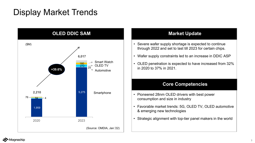## Display Market Trends



#### **Market Update**

- Severe wafer supply shortage is expected to continue through 2022 and set to last till 2023 for certain chips.
- Wafer supply constraints led to an increase in DDIC ASP
- OLED penetration is expected to have increased from 32% in 2020 to 37% in 2021.

#### **Core Competencies**

- Pioneered 28nm OLED drivers with best power consumption and size in industry
- Favorable market trends: 5G, OLED TV, OLED automotive & emerging new technologies
- Strategic alignment with top-tier panel makers in the world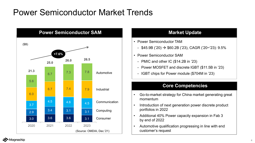# Power Semiconductor Market Trends



### **Market Update**

- Power Semiconductor TAM
	- $-$  \$45.9B ('20)  $\rightarrow$  \$60.2B ('23), CAGR ('20~'23): 9.5%
- Power Semiconductor SAM
	- PMIC and other IC (\$14.2B in '23)
	- Power MOSFET and discrete IGBT (\$11.5B in '23)
	- IGBT chips for Power module (\$704M in '23)

#### **Core Competencies**

- Go-to-market strategy for China market generating great momentum
- Introduction of next generation power discrete product portfolios in 2022
- Additional 40% Power capacity expansion in Fab 3 by end of 2022
- Automotive qualification progressing in line with end customer's request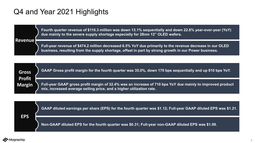### Q4 and Year 2021 Highlights

**Fourth quarter revenue of \$110.3 million was down 13.1% sequentially and down 22.8% year-over-year (YoY) due mainly to the severe supply shortage especially for 28nm 12" OLED wafers.**

#### **Revenue**

**Full-year revenue of \$474.2 million decreased 6.5% YoY due primarily to the revenue decrease in our OLED business, resulting from the supply shortage, offset in part by strong growth in our Power business.**

| <b>Gross</b><br><b>Profit</b> | GAAP Gross profit margin for the fourth quarter was 35.0%, down 170 bps sequentially and up 810 bps YoY.                                                                                           |
|-------------------------------|----------------------------------------------------------------------------------------------------------------------------------------------------------------------------------------------------|
| <b>Margin</b>                 | Full-year GAAP gross profit margin of 32.4% was an increase of 710 bps YoY due mainly to improved product b<br>$\mid$ mix, increased average selling price, and a highe <u>r utilization rate.</u> |



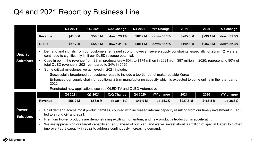### Q4 and 2021 Report by Business Line

|                                    |                                                                                                                                                                                                                                                                                                                                                                                                                                                                                                                                                                                                                                                                                                                                                                                                | Q4 2021                    | Q3 2021  | Q/Q Change                                                                                                                                                                                                                                                                                                                                                                                                                                                          | Q4 2020  | <b>Y/Y Change</b> | 2021      | 2020      | Y/Y change |  |  |  |  |
|------------------------------------|------------------------------------------------------------------------------------------------------------------------------------------------------------------------------------------------------------------------------------------------------------------------------------------------------------------------------------------------------------------------------------------------------------------------------------------------------------------------------------------------------------------------------------------------------------------------------------------------------------------------------------------------------------------------------------------------------------------------------------------------------------------------------------------------|----------------------------|----------|---------------------------------------------------------------------------------------------------------------------------------------------------------------------------------------------------------------------------------------------------------------------------------------------------------------------------------------------------------------------------------------------------------------------------------------------------------------------|----------|-------------------|-----------|-----------|------------|--|--|--|--|
|                                    | \$41.3 M<br><b>Revenue</b>                                                                                                                                                                                                                                                                                                                                                                                                                                                                                                                                                                                                                                                                                                                                                                     |                            | \$58.5 M | down 29.4%                                                                                                                                                                                                                                                                                                                                                                                                                                                          | \$82.7 M | down 50.1%        | \$205.3 M | \$299.1 M | down 31.3% |  |  |  |  |
|                                    | <b>OLED</b>                                                                                                                                                                                                                                                                                                                                                                                                                                                                                                                                                                                                                                                                                                                                                                                    | \$37.7 M                   | \$55.3 M | down 31.8%                                                                                                                                                                                                                                                                                                                                                                                                                                                          | \$80.4 M | down 53.1%        | \$192.8 M | \$284.6 M | down 32.3% |  |  |  |  |
| <b>Display</b><br><b>Solutions</b> | Demand and signals from our customers remained strong; however, severe supply constraints, especially for 28nm 12" wafers,<br>$\bullet$<br>continued to significantly limit our OLED revenue potential.<br>Case in point, the revenue from 28nm products grew 80% to \$174 million in 2021 from \$97 million in 2020, representing 90% of<br>$\bullet$<br>total OLED revenue in 2021 compared to 34% in 2020.<br>Some critical milestones we achieved in 2021 include:<br>$\bullet$<br>- Successfully broadened our customer base to include a top-tier panel maker outside Korea<br>- Enhanced our supply chain for additional 28nm manufacturing capacity which is expected to come online in the later part of<br>2022<br>- Penetrated new applications such as OLED TV and OLED Automotive |                            |          |                                                                                                                                                                                                                                                                                                                                                                                                                                                                     |          |                   |           |           |            |  |  |  |  |
|                                    |                                                                                                                                                                                                                                                                                                                                                                                                                                                                                                                                                                                                                                                                                                                                                                                                | Q4 2021                    | Q3 2021  | Q/Q Change                                                                                                                                                                                                                                                                                                                                                                                                                                                          | Q4 2020  | <b>Y/Y change</b> | 2021      | 2020      | Y/Y change |  |  |  |  |
|                                    | <b>Revenue</b>                                                                                                                                                                                                                                                                                                                                                                                                                                                                                                                                                                                                                                                                                                                                                                                 | \$58.2 M                   | \$58.9 M | down 1.1%                                                                                                                                                                                                                                                                                                                                                                                                                                                           | \$46.9 M | up 24.2%          | \$227.8 M | \$166.5 M | up 36.8%   |  |  |  |  |
| <b>Power</b><br><b>Solutions</b>   | $\bullet$<br>$\bullet$<br>$\bullet$                                                                                                                                                                                                                                                                                                                                                                                                                                                                                                                                                                                                                                                                                                                                                            | led to strong Q4 and 2021. |          | Solid demand across most product families, coupled with increased internal capacity resulting from our timely investment in Fab 3,<br>Premium Power products are demonstrating exciting momentum, and new product introduction is accelerating.<br>We are approaching our target capacity at Fab 3 ahead of our plan, and we will invest about \$8 million of special Capex to further<br>improve Fab 3 capacity in 2022 to address continuously increasing demand. |          |                   |           |           |            |  |  |  |  |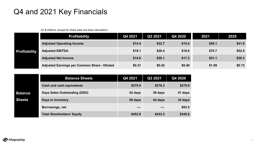### Q4 and 2021 Key Financials

|                      | <b>Profitability</b>                         | Q4 2021 | Q3 2021 | Q4 2020 | 2021   | 2020   |
|----------------------|----------------------------------------------|---------|---------|---------|--------|--------|
| <b>Profitability</b> | <b>Adjusted Operating Income</b>             | \$14.4  | \$22.7  | \$15.4  | \$56.1 | \$41.6 |
|                      | <b>Adjusted EBITDA</b>                       | \$18.1  | \$26.4  | \$18.6  | \$70.7 | \$52.9 |
|                      | <b>Adjusted Net Income</b>                   | \$14.6  | \$20.1  | \$17.3  | \$51.1 | \$28.3 |
|                      | Adjusted Earnings per Common Share - Diluted | \$0.31  | \$0.42  | \$0.40  | \$1.09 | \$0.73 |

(In \$ millions, except for share data and days calculation)

|                | <b>Balance Sheets</b>             | Q4 2021 | Q3 2021 | Q4 2020 |
|----------------|-----------------------------------|---------|---------|---------|
|                | <b>Cash and cash equivalents</b>  | \$279.5 | \$276.3 | \$279.9 |
| <b>Balance</b> | Days Sales Outstanding (DSO)      | 42 days | 38 days | 41 days |
| <b>Sheets</b>  | Days in Inventory                 | 50 days | 44 days | 34 days |
|                | Borrowings, net                   |         |         | \$83.5  |
|                | <b>Total Stockholders' Equity</b> | \$452.8 | \$433.3 | \$345.6 |

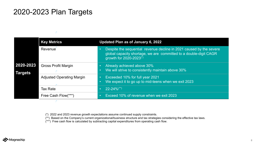### 2020-2023 Plan Targets

#### Ž,

L.

|                             | <b>Key Metrics</b>               | Updated Plan as of January 6, 2022                                                                                                                                              |
|-----------------------------|----------------------------------|---------------------------------------------------------------------------------------------------------------------------------------------------------------------------------|
|                             | Revenue                          | Despite the sequential revenue decline in 2021 caused by the severe<br>global capacity shortage, we are committed to a double-digit CAGR<br>growth for 2020-2023 <sup>(*)</sup> |
| 2020-2023<br><b>Targets</b> | <b>Gross Profit Margin</b>       | Already achieved above 30%<br>We will strive to consistently maintain above 30%                                                                                                 |
|                             | <b>Adjusted Operating Margin</b> | Exceeded 10% for full year 2021<br>We expect it to go up to mid-teens when we exit 2023                                                                                         |
|                             | <b>Tax Rate</b>                  | $22 - 24\%$ <sup>(**)</sup>                                                                                                                                                     |
|                             | Free Cash Flow(***)              | Exceed 10% of revenue when we exit 2023                                                                                                                                         |

(\*) 2022 and 2023 revenue growth expectations assume continued supply constraints.

(\*\*) Based on the Company's current organizational/business structure and tax strategies considering the effective tax laws.

(\*\*\*) Free cash flow is calculated by subtracting capital expenditures from operating cash flow.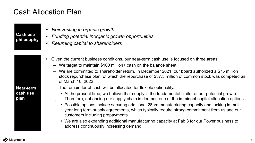### Cash Allocation Plan

#### **Cash use philosophy**

- *Reinvesting in organic growth*
- *Funding potential inorganic growth opportunities*
- *Returning capital to shareholders*
- Given the current business conditions, our near-term cash use is focused on three areas:
	- We target to maintain \$100 million+ cash on the balance sheet.
	- $\sim$  We are committed to shareholder return. In December 2021, our board authorized a \$75 million stock repurchase plan, of which the repurchase of \$37.5 million of common stock was competed as of March 10, 2022
	- The remainder of cash will be allocated for flexible optionality.
		- At the present time, we believe that supply is the fundamental limiter of our potential growth. Therefore, enhancing our supply chain is deemed one of the imminent capital allocation options.
		- Possible options include securing additional 28nm manufacturing capacity and locking in multiyear long term supply agreements, which typically require strong commitment from us and our customers including prepayments.
		- We are also expanding additional manufacturing capacity at Fab 3 for our Power business to address continuously increasing demand.

#### **Near-term cash use plan**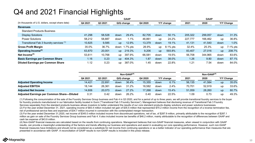### Q4 and 2021 Financial Highlights

|                                                    | <b>GAAP</b> |                         |                        |          |         |            |          |         | <b>GAAP</b> |           |             |  |
|----------------------------------------------------|-------------|-------------------------|------------------------|----------|---------|------------|----------|---------|-------------|-----------|-------------|--|
| (In thousands of U.S. dollars, except share data)  | Q4 2021     | Q3 2021<br>$Q/Q$ change |                        |          | Q4 2020 | Y/Y change |          | 2021    |             |           | Y/Y Change  |  |
| <b>Revenues</b>                                    |             |                         |                        |          |         |            |          |         |             |           |             |  |
| <b>Standard Products Business</b>                  |             |                         |                        |          |         |            |          |         |             |           |             |  |
| <b>Display Solutions</b>                           | 41,298      | 58,528                  | down                   | 29.4%    | 82,705  | down       | 50.1%    | 205,322 | 299,057     | down      | 31.3%       |  |
| <b>Power Solutions</b>                             | 58,212      | 58,887                  | down                   | 1.1%     | 46,861  | up         | 24.2%    | 227,777 | 166,462     | up        | 36.8%       |  |
| Transitional Fab 3 foundry services <sup>(1)</sup> | 10,825      | 9,585                   | $\mathsf{u}\mathsf{p}$ | 12.9%    | 13,379  | down       | 19.1%    | 41,131  | 41,540      | down      | 1.0%        |  |
| <b>Gross Profit Margin</b>                         | 35.0%       | 36.7%                   | down                   | 1.7% pts | 26.9%   | <b>up</b>  | 8.1% pts | 32.4%   | 25.3%       | up        | $7.1\%$ pts |  |
| Operating Income <sup>(2)</sup>                    | 63,870      | 20,001                  | up                     | 219.3%   | 9,206   | up         | 593.8%   | 83,407  | 27,016      | <b>up</b> | 208.7%      |  |
| Net Income $(3)$                                   | 53,611      | 10,768                  | up                     | 397.9%   | 66,581  | down       | 19.5%    | 56,708  | 344,965     | down      | 83.6%       |  |
| <b>Basic Earnings per Common Share</b>             | 1.16        | 0.23                    | $\mathsf{u}\mathsf{p}$ | 404.3%   | 1.87    | down       | 38.0%    | 1.26    | 9.80        | down      | 87.1%       |  |
| <b>Diluted Earnings per Common Share</b>           | 1.12        | 0.23                    | <b>up</b>              | 387.0%   | 1.45    | down       | 22.8%    | 1.21    | 7.54        | down      | 84.0%       |  |

|                                            |         |         | Non-GAAP $(4)$ |       | $Non-GAAP(4)$ |      |            |        |        |            |       |  |
|--------------------------------------------|---------|---------|----------------|-------|---------------|------|------------|--------|--------|------------|-------|--|
|                                            | Q4 2021 | Q3 2021 | Q/Q change     |       | Q4 2020       |      | Y/Y change | 2021   | 2020   | Y/Y Change |       |  |
| <b>Adjusted Operating Income</b>           | 14,421  | 22,691  | down           | 36.4% | 15,355        | down | 6.1%       | 56,135 | 41,584 | <b>up</b>  | 35.0% |  |
| <b>Adjusted EBITDA</b>                     | 18,144  | 26,361  | down           | 31.2% | 18,582        | down | 2.4%       | 70,701 | 52,919 | <b>up</b>  | 33.6% |  |
| <b>Adjusted Net Income</b>                 | 14,606  | 20,073  | down           | 27.2% | 17,268        | down | 15.4%      | 51,059 | 28,260 | <b>up</b>  | 80.7% |  |
| Adjusted Earnings per Common Share-Diluted | 0.31    | 0.42    | down           | 26.2% | 0.40          | down | 22.5%      | 1.09   | 0.73   | <b>up</b>  | 49.3% |  |

(1) Following the consummation of the sale of the Foundry Services Group business and Fab 4 in Q3 2020, and for a period of up to three years, we will provide transitional foundry services to the buyer for foundry products manufactured in our fabrication facility located in Gumi ("Transitional Fab 3 Foundry Services"). Management believes that disclosing revenue of Transitional Fab 3 Foundry Services separately from the standard products business allows investors to better understand the results of our core standard products display solutions and power solutions businesses.

(2) For the year ended December 31, 2021, operating income of \$83.4 million included net gain of \$35.5 million that represented \$70.2 million income from the recognition of a reverse termination fee, net of professional service fees and expenses of \$34.7 million incurred in connection with the contemplated merger transaction.

(3) For the year ended December 31,2020, net income of \$345.0 million included income from discontinued operations, net of tax, of \$287.9 million, primarily attributable to the recognition of \$287.1 million as gain on sale of the Foundry Services Group business and Fab 4. It also included income tax benefits of \$46.2 million, mainly attributable to the recognition of differences between GAAP and cash tax expense of \$43.9 million.

(4) Non-GAAP financial measures are calculated based on the results from continuing operations. Management believes that non-GAAP financial measures, when viewed in conjunction with GAAP results, can provide a meaningful understanding of the factors and trends affecting our business and operations and assist in evaluating our core operating performance. However, such non-GAAP financial measures have limitations and should not be considered as a substitute for net income from continuing operations or as a better indicator of our operating performance than measures that are presented in accordance with GAAP. A reconciliation of GAAP results to non-GAAP results is included in this press release.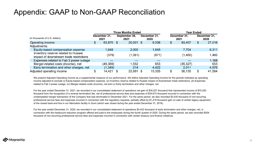# Appendix: GAAP to Non-GAAP Reconciliation Appendix: GAAP to Non-GAAP Reconciliation

|                                                                                |        |                      |  | <b>Three Months Ended</b> |  | Year Ended           |                      |           |                      |        |
|--------------------------------------------------------------------------------|--------|----------------------|--|---------------------------|--|----------------------|----------------------|-----------|----------------------|--------|
| (In thousands of U.S. dollars)                                                 |        | December 31,<br>2021 |  | September 30,<br>2021     |  | December 31,<br>2020 | December 31,<br>2021 |           | December 31,<br>2020 |        |
| Operating income                                                               | \$     | 63,870 \$            |  | $20,001$ \$               |  | 9,206                | \$                   | 83,407    | \$                   | 27,016 |
| Adjustments:                                                                   |        |                      |  |                           |  |                      |                      |           |                      |        |
| Equity-based compensation expense                                              |        | 1,648                |  | 2,005                     |  | 1,945                |                      | 7,704     |                      | 6,311  |
| Inventory reserve related to Huawei<br>impact of downstream trade restrictions |        | (379)                |  | (1,081)                   |  | (871)                |                      | (1,460)   |                      | 1,460  |
| Expenses related to Fab 3 power outage                                         |        |                      |  |                           |  |                      |                      |           |                      | 1,168  |
| Merger-related costs (income), net                                             |        | (49,369)             |  | 1,552                     |  | 653                  |                      | (35, 527) |                      | 653    |
| Early termination and other charges, net                                       |        | (1, 349)             |  | 214                       |  | 4,422                |                      | 2,011     |                      | 4,976  |
| Adjusted operating income                                                      | œ<br>D | 14,421               |  | 22,691                    |  | 15,355               | \$                   | 56,135    | \$                   | 41,584 |

We present Adjusted Operating Income as a supplemental measure of our performance. We define Adjusted Operating Income for the periods indicated as operating income adjusted to exclude (i) Equity-based compensation expense, (ii) Inventory reserve related to Huawei impact of downstream trade restrictions, (iii) Expenses related to Fab 3 power outage, (iv) Merger-related costs (income), net and (v) Early termination and other charges, net.

For the year ended December 31, 2021, we recorded in our consolidated statement of operations net gain of \$35,527 thousand that represented income of \$70,200 thousand from the recognition of a reverse termination fee, net of professional service fees and expenses of \$34,673 thousand incurred in connection with the contemplated merger transaction of the Company that was terminated in December 2021. For the same period, we also recorded \$3,430 thousand of non-recurring professional service fees and expenses incurred in connection with the regulatory requests, partially offset by \$1,419 thousand gain on sale of certain legacy equipment of the closed back-end line in our fabrication facility in Gumi (which was closed during the year ended December 31, 2018).

For the year ended December 31, 2020, we recorded in our consolidated statement of operations \$4,422 thousand of early termination and other charges, net, in connection with the headcount reduction program offered and paid to the employees during the fourth quarter of 2020. During the same period, we also recorded \$554 thousand of non-recurring professional service fees and expenses incurred in connection with certain treasury and finance initiatives.